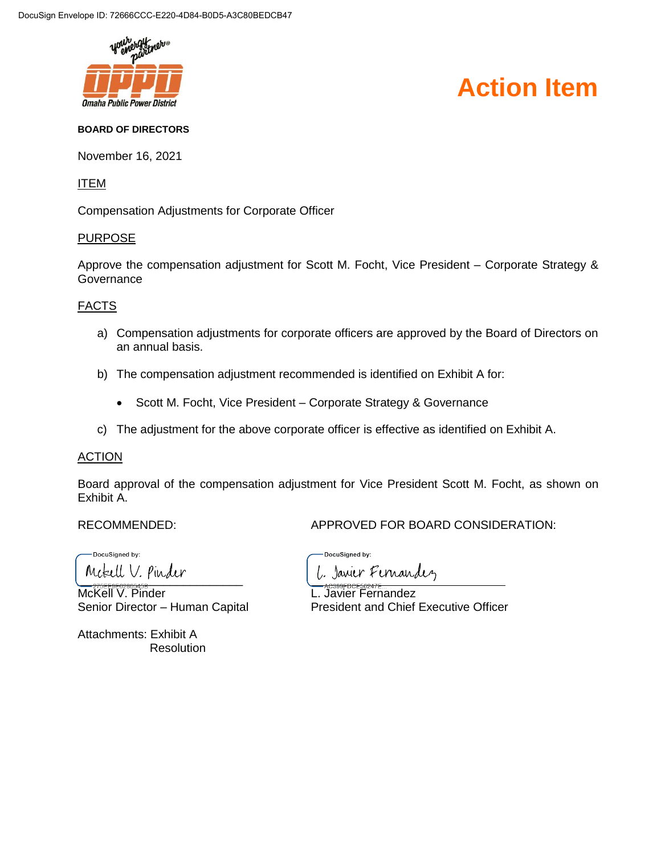

# **Action Item**

#### **BOARD OF DIRECTORS**

November 16, 2021

## ITEM

Compensation Adjustments for Corporate Officer

#### PURPOSE

Approve the compensation adjustment for Scott M. Focht, Vice President – Corporate Strategy & **Governance** 

#### FACTS

- a) Compensation adjustments for corporate officers are approved by the Board of Directors on an annual basis.
- b) The compensation adjustment recommended is identified on Exhibit A for:
	- Scott M. Focht, Vice President Corporate Strategy & Governance
- c) The adjustment for the above corporate officer is effective as identified on Exhibit A.

#### **ACTION**

Board approval of the compensation adjustment for Vice President Scott M. Focht, as shown on Exhibit A.

RECOMMENDED: APPROVED FOR BOARD CONSIDERATION:

DocuSigned by: Metell V. Pinder

McKell V. Pinder **L. Javier Fernandez** 

Attachments: Exhibit A **Resolution** 

DocuSigned by: L. Javier Fernandez

Senior Director – Human Capital President and Chief Executive Officer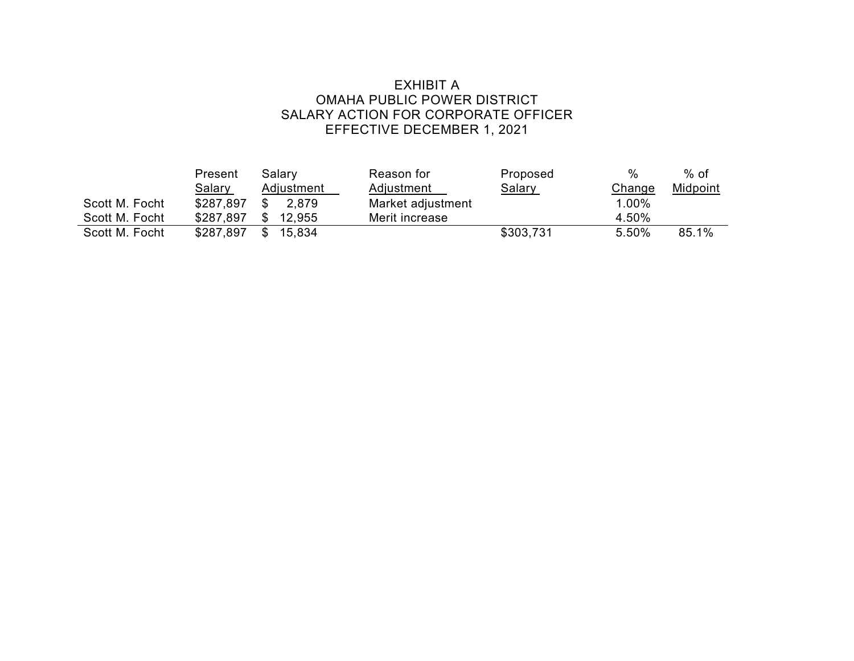## EXHIBIT A OMAHA PUBLIC POWER DISTRICT SALARY ACTION FOR CORPORATE OFFICER EFFECTIVE DECEMBER 1, 2021

|                | Present       | Salary        | Reason for        | Proposed      | %      | $%$ of   |
|----------------|---------------|---------------|-------------------|---------------|--------|----------|
|                | <u>Salary</u> | Adjustment    | <b>Adjustment</b> | <u>Salary</u> | Change | Midpoint |
| Scott M. Focht | \$287.897     | 2.879         | Market adjustment |               | 1.00%  |          |
| Scott M. Focht | \$287,897     | \$.<br>12.955 | Merit increase    |               | 4.50%  |          |
| Scott M. Focht | \$287,897     | 15.834<br>\$  |                   | \$303,731     | 5.50%  | 85.1%    |